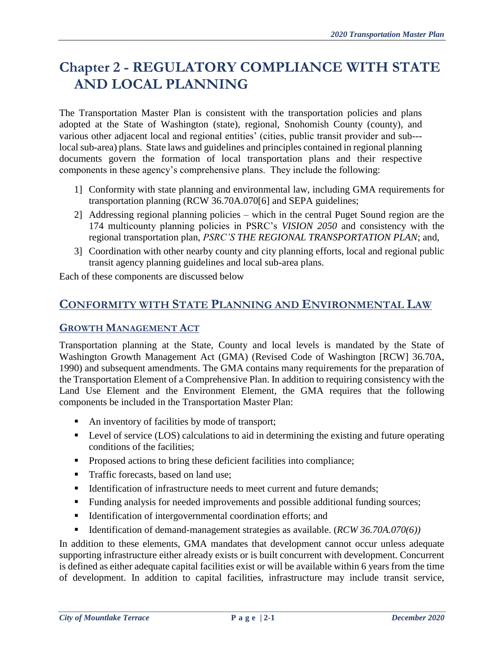# **Chapter 2 - REGULATORY COMPLIANCE WITH STATE AND LOCAL PLANNING**

The Transportation Master Plan is consistent with the transportation policies and plans adopted at the State of Washington (state), regional, Snohomish County (county), and various other adjacent local and regional entities' (cities, public transit provider and sub-- local sub-area) plans. State laws and guidelines and principles contained in regional planning documents govern the formation of local transportation plans and their respective components in these agency's comprehensive plans. They include the following:

- 1] Conformity with state planning and environmental law, including GMA requirements for transportation planning (RCW 36.70A.070[6] and SEPA guidelines;
- 2] Addressing regional planning policies which in the central Puget Sound region are the 174 multicounty planning policies in PSRC's *VISION 2050* and consistency with the regional transportation plan, *PSRC'S THE REGIONAL TRANSPORTATION PLAN*; and,
- 3] Coordination with other nearby county and city planning efforts, local and regional public transit agency planning guidelines and local sub-area plans.

Each of these components are discussed below

# **CONFORMITY WITH STATE PLANNING AND ENVIRONMENTAL LAW**

### **GROWTH MANAGEMENT ACT**

Transportation planning at the State, County and local levels is mandated by the State of Washington Growth Management Act (GMA) (Revised Code of Washington [RCW] 36.70A, 1990) and subsequent amendments. The GMA contains many requirements for the preparation of the Transportation Element of a Comprehensive Plan. In addition to requiring consistency with the Land Use Element and the Environment Element, the GMA requires that the following components be included in the Transportation Master Plan:

- An inventory of facilities by mode of transport;
- Level of service (LOS) calculations to aid in determining the existing and future operating conditions of the facilities;
- **Proposed actions to bring these deficient facilities into compliance;**
- Traffic forecasts, based on land use;
- Identification of infrastructure needs to meet current and future demands:
- Funding analysis for needed improvements and possible additional funding sources;
- **IDENTIFICATION** Intergovernmental coordination efforts; and
- Identification of demand-management strategies as available. (*RCW* 36.70A.070(6))

In addition to these elements, GMA mandates that development cannot occur unless adequate supporting infrastructure either already exists or is built concurrent with development. Concurrent is defined as either adequate capital facilities exist or will be available within 6 years from the time of development. In addition to capital facilities, infrastructure may include transit service,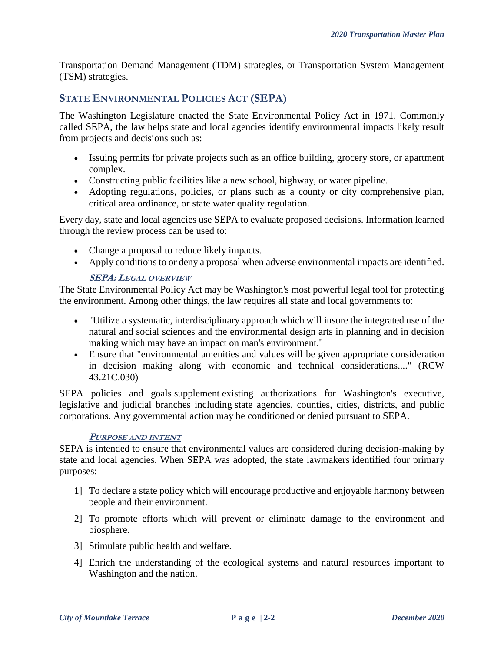Transportation Demand Management (TDM) strategies, or Transportation System Management (TSM) strategies.

### **STATE ENVIRONMENTAL POLICIES ACT (SEPA)**

The Washington Legislature enacted the State Environmental Policy Act in 1971. Commonly called SEPA, the law helps state and local agencies identify environmental impacts likely result from projects and decisions such as:

- Issuing permits for private projects such as an office building, grocery store, or apartment complex.
- Constructing public facilities like a new school, highway, or water pipeline.
- Adopting regulations, policies, or plans such as a county or city comprehensive plan, critical area ordinance, or state water quality regulation.

Every day, state and local agencies use SEPA to evaluate proposed decisions. Information learned through the review process can be used to:

- Change a proposal to reduce likely impacts.
- Apply conditions to or deny a proposal when adverse environmental impacts are identified.

### **SEPA: LEGAL OVERVIEW**

The State Environmental Policy Act may be Washington's most powerful legal tool for protecting the environment. Among other things, the law requires all state and local governments to:

- "Utilize a systematic, interdisciplinary approach which will insure the integrated use of the natural and social sciences and the environmental design arts in planning and in decision making which may have an impact on man's environment."
- Ensure that "environmental amenities and values will be given appropriate consideration in decision making along with economic and technical considerations...." [\(RCW](http://app.leg.wa.gov/RCW/default.aspx?cite=43.21C.030)  [43.21C.030\)](http://app.leg.wa.gov/RCW/default.aspx?cite=43.21C.030)

SEPA policies and goals supplement existing authorizations for Washington's executive, legislative and judicial branches including state agencies, counties, cities, districts, and public corporations. Any governmental action may be conditioned or denied pursuant to SEPA.

#### **PURPOSE AND INTENT**

SEPA is intended to ensure that environmental values are considered during decision-making by state and local agencies. When SEPA was adopted, the state lawmakers identified four primary purposes:

- 1] To declare a state policy which will encourage productive and enjoyable harmony between people and their environment.
- 2] To promote efforts which will prevent or eliminate damage to the environment and biosphere.
- 3] Stimulate public health and welfare.
- 4] Enrich the understanding of the ecological systems and natural resources important to Washington and the nation.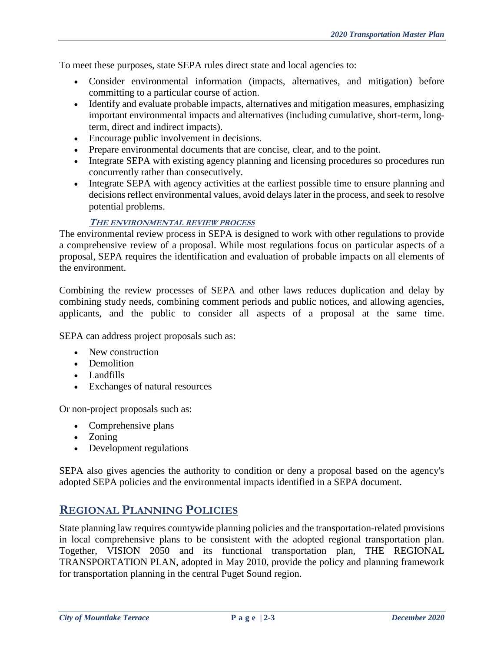To meet these purposes, state SEPA rules direct state and local agencies to:

- Consider environmental information (impacts, alternatives, and mitigation) before committing to a particular course of action.
- Identify and evaluate probable impacts, alternatives and mitigation measures, emphasizing important environmental impacts and alternatives (including cumulative, short-term, longterm, direct and indirect impacts).
- Encourage public involvement in decisions.
- Prepare environmental documents that are concise, clear, and to the point.
- Integrate SEPA with existing agency planning and licensing procedures so procedures run concurrently rather than consecutively.
- Integrate SEPA with agency activities at the earliest possible time to ensure planning and decisions reflect environmental values, avoid delays later in the process, and seek to resolve potential problems.

#### **THE ENVIRONMENTAL REVIEW PROCESS**

The environmental review process in SEPA is designed to work with other regulations to provide a comprehensive review of a proposal. While most regulations focus on particular aspects of a proposal, SEPA requires the identification and evaluation of probable impacts on all elements of the environment.

Combining the review processes of SEPA and other laws reduces duplication and delay by combining study needs, combining comment periods and public notices, and allowing agencies, applicants, and the public to consider all aspects of a proposal at the same time.

SEPA can address project proposals such as:

- New construction
- Demolition
- Landfills
- Exchanges of natural resources

Or non-project proposals such as:

- Comprehensive plans
- Zoning
- Development regulations

SEPA also gives agencies the authority to condition or deny a proposal based on the agency's adopted SEPA policies and the environmental impacts identified in a SEPA document.

# **REGIONAL PLANNING POLICIES**

State planning law requires countywide planning policies and the transportation-related provisions in local comprehensive plans to be consistent with the adopted regional transportation plan. Together, VISION 2050 and its functional transportation plan, THE REGIONAL TRANSPORTATION PLAN, adopted in May 2010, provide the policy and planning framework for transportation planning in the central Puget Sound region.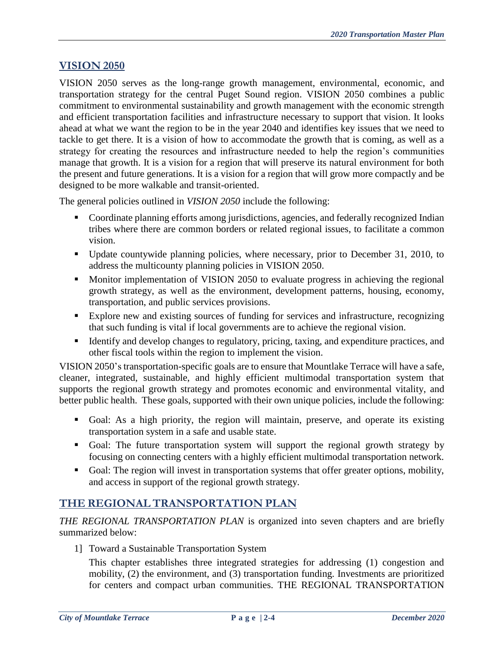### **VISION 2050**

VISION 2050 serves as the long-range growth management, environmental, economic, and transportation strategy for the central Puget Sound region. VISION 2050 combines a public commitment to environmental sustainability and growth management with the economic strength and efficient transportation facilities and infrastructure necessary to support that vision. It looks ahead at what we want the region to be in the year 2040 and identifies key issues that we need to tackle to get there. It is a vision of how to accommodate the growth that is coming, as well as a strategy for creating the resources and infrastructure needed to help the region's communities manage that growth. It is a vision for a region that will preserve its natural environment for both the present and future generations. It is a vision for a region that will grow more compactly and be designed to be more walkable and transit-oriented.

The general policies outlined in *VISION 2050* include the following:

- Coordinate planning efforts among jurisdictions, agencies, and federally recognized Indian tribes where there are common borders or related regional issues, to facilitate a common vision.
- Update countywide planning policies, where necessary, prior to December 31, 2010, to address the multicounty planning policies in VISION 2050.
- **Monitive implementation of VISION 2050 to evaluate progress in achieving the regional** growth strategy, as well as the environment, development patterns, housing, economy, transportation, and public services provisions.
- Explore new and existing sources of funding for services and infrastructure, recognizing that such funding is vital if local governments are to achieve the regional vision.
- Identify and develop changes to regulatory, pricing, taxing, and expenditure practices, and other fiscal tools within the region to implement the vision.

VISION 2050's transportation-specific goals are to ensure that Mountlake Terrace will have a safe, cleaner, integrated, sustainable, and highly efficient multimodal transportation system that supports the regional growth strategy and promotes economic and environmental vitality, and better public health. These goals, supported with their own unique policies, include the following:

- Goal: As a high priority, the region will maintain, preserve, and operate its existing transportation system in a safe and usable state.
- Goal: The future transportation system will support the regional growth strategy by focusing on connecting centers with a highly efficient multimodal transportation network.
- Goal: The region will invest in transportation systems that offer greater options, mobility, and access in support of the regional growth strategy.

# **THE REGIONAL TRANSPORTATION PLAN**

*THE REGIONAL TRANSPORTATION PLAN* is organized into seven chapters and are briefly summarized below:

1] Toward a Sustainable Transportation System

This chapter establishes three integrated strategies for addressing (1) congestion and mobility, (2) the environment, and (3) transportation funding. Investments are prioritized for centers and compact urban communities. THE REGIONAL TRANSPORTATION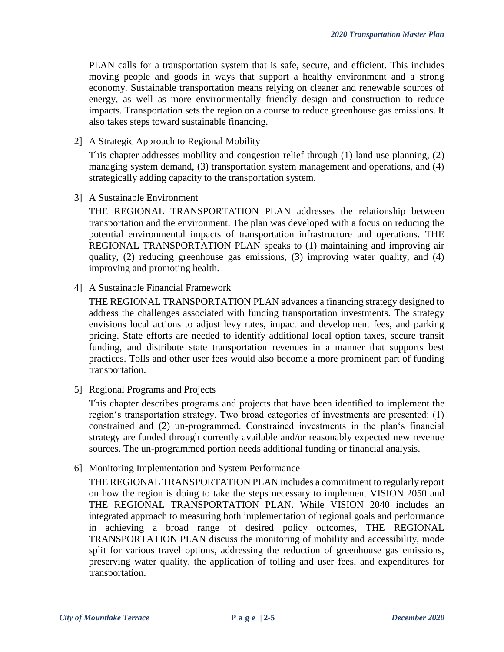PLAN calls for a transportation system that is safe, secure, and efficient. This includes moving people and goods in ways that support a healthy environment and a strong economy. Sustainable transportation means relying on cleaner and renewable sources of energy, as well as more environmentally friendly design and construction to reduce impacts. Transportation sets the region on a course to reduce greenhouse gas emissions. It also takes steps toward sustainable financing.

2] A Strategic Approach to Regional Mobility

This chapter addresses mobility and congestion relief through (1) land use planning, (2) managing system demand, (3) transportation system management and operations, and (4) strategically adding capacity to the transportation system.

3] A Sustainable Environment

THE REGIONAL TRANSPORTATION PLAN addresses the relationship between transportation and the environment. The plan was developed with a focus on reducing the potential environmental impacts of transportation infrastructure and operations. THE REGIONAL TRANSPORTATION PLAN speaks to (1) maintaining and improving air quality, (2) reducing greenhouse gas emissions, (3) improving water quality, and (4) improving and promoting health.

4] A Sustainable Financial Framework

THE REGIONAL TRANSPORTATION PLAN advances a financing strategy designed to address the challenges associated with funding transportation investments. The strategy envisions local actions to adjust levy rates, impact and development fees, and parking pricing. State efforts are needed to identify additional local option taxes, secure transit funding, and distribute state transportation revenues in a manner that supports best practices. Tolls and other user fees would also become a more prominent part of funding transportation.

5] Regional Programs and Projects

This chapter describes programs and projects that have been identified to implement the region's transportation strategy. Two broad categories of investments are presented: (1) constrained and (2) un-programmed. Constrained investments in the plan's financial strategy are funded through currently available and/or reasonably expected new revenue sources. The un-programmed portion needs additional funding or financial analysis.

6] Monitoring Implementation and System Performance

THE REGIONAL TRANSPORTATION PLAN includes a commitment to regularly report on how the region is doing to take the steps necessary to implement VISION 2050 and THE REGIONAL TRANSPORTATION PLAN. While VISION 2040 includes an integrated approach to measuring both implementation of regional goals and performance in achieving a broad range of desired policy outcomes, THE REGIONAL TRANSPORTATION PLAN discuss the monitoring of mobility and accessibility, mode split for various travel options, addressing the reduction of greenhouse gas emissions, preserving water quality, the application of tolling and user fees, and expenditures for transportation.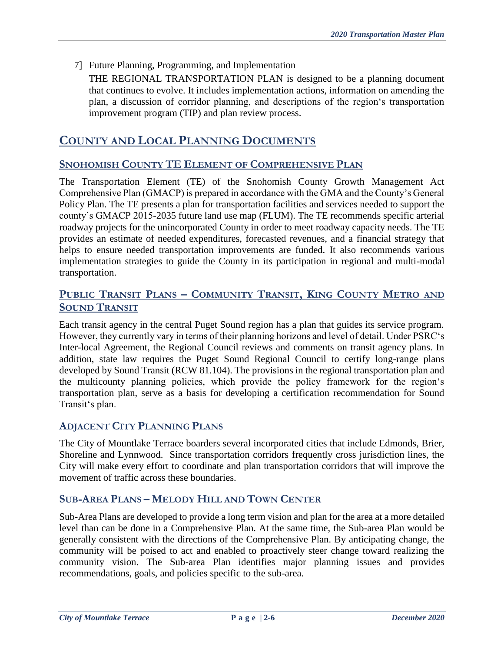7] Future Planning, Programming, and Implementation

THE REGIONAL TRANSPORTATION PLAN is designed to be a planning document that continues to evolve. It includes implementation actions, information on amending the plan, a discussion of corridor planning, and descriptions of the region's transportation improvement program (TIP) and plan review process.

### **COUNTY AND LOCAL PLANNING DOCUMENTS**

### **SNOHOMISH COUNTY TE ELEMENT OF COMPREHENSIVE PLAN**

The Transportation Element (TE) of the Snohomish County Growth Management Act Comprehensive Plan (GMACP) is prepared in accordance with the GMA and the County's General Policy Plan. The TE presents a plan for transportation facilities and services needed to support the county's GMACP 2015-2035 future land use map (FLUM). The TE recommends specific arterial roadway projects for the unincorporated County in order to meet roadway capacity needs. The TE provides an estimate of needed expenditures, forecasted revenues, and a financial strategy that helps to ensure needed transportation improvements are funded. It also recommends various implementation strategies to guide the County in its participation in regional and multi-modal transportation.

### **PUBLIC TRANSIT PLANS – COMMUNITY TRANSIT, KING COUNTY METRO AND SOUND TRANSIT**

Each transit agency in the central Puget Sound region has a plan that guides its service program. However, they currently vary in terms of their planning horizons and level of detail. Under PSRC's Inter-local Agreement, the Regional Council reviews and comments on transit agency plans. In addition, state law requires the Puget Sound Regional Council to certify long-range plans developed by Sound Transit (RCW 81.104). The provisions in the regional transportation plan and the multicounty planning policies, which provide the policy framework for the region's transportation plan, serve as a basis for developing a certification recommendation for Sound Transit's plan.

### **ADJACENT CITY PLANNING PLANS**

The City of Mountlake Terrace boarders several incorporated cities that include Edmonds, Brier, Shoreline and Lynnwood. Since transportation corridors frequently cross jurisdiction lines, the City will make every effort to coordinate and plan transportation corridors that will improve the movement of traffic across these boundaries.

### **SUB-AREA PLANS – MELODY HILL AND TOWN CENTER**

Sub-Area Plans are developed to provide a long term vision and plan for the area at a more detailed level than can be done in a Comprehensive Plan. At the same time, the Sub-area Plan would be generally consistent with the directions of the Comprehensive Plan. By anticipating change, the community will be poised to act and enabled to proactively steer change toward realizing the community vision. The Sub-area Plan identifies major planning issues and provides recommendations, goals, and policies specific to the sub-area.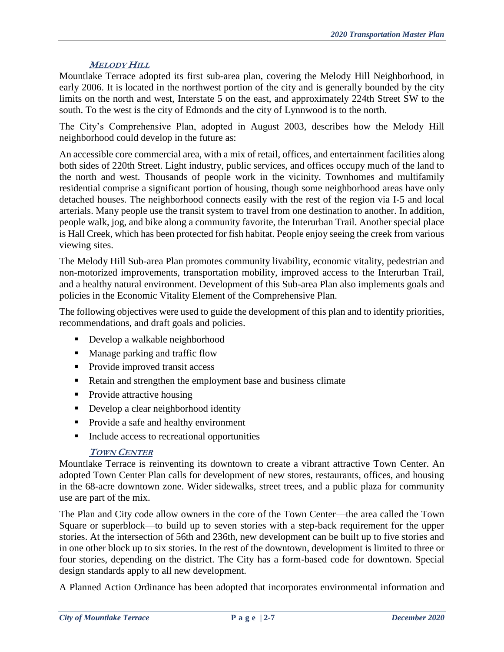### **MELODY HILL**

Mountlake Terrace adopted its first sub-area plan, covering the Melody Hill Neighborhood, in early 2006. It is located in the northwest portion of the city and is generally bounded by the city limits on the north and west, Interstate 5 on the east, and approximately 224th Street SW to the south. To the west is the city of Edmonds and the city of Lynnwood is to the north.

The City's Comprehensive Plan, adopted in August 2003, describes how the Melody Hill neighborhood could develop in the future as:

An accessible core commercial area, with a mix of retail, offices, and entertainment facilities along both sides of 220th Street. Light industry, public services, and offices occupy much of the land to the north and west. Thousands of people work in the vicinity. Townhomes and multifamily residential comprise a significant portion of housing, though some neighborhood areas have only detached houses. The neighborhood connects easily with the rest of the region via I-5 and local arterials. Many people use the transit system to travel from one destination to another. In addition, people walk, jog, and bike along a community favorite, the Interurban Trail. Another special place is Hall Creek, which has been protected for fish habitat. People enjoy seeing the creek from various viewing sites.

The Melody Hill Sub-area Plan promotes community livability, economic vitality, pedestrian and non-motorized improvements, transportation mobility, improved access to the Interurban Trail, and a healthy natural environment. Development of this Sub-area Plan also implements goals and policies in the Economic Vitality Element of the Comprehensive Plan.

The following objectives were used to guide the development of this plan and to identify priorities, recommendations, and draft goals and policies.

- **Develop a walkable neighborhood**
- Manage parking and traffic flow
- Provide improved transit access
- Retain and strengthen the employment base and business climate
- Provide attractive housing
- Develop a clear neighborhood identity
- **Provide a safe and healthy environment**
- Include access to recreational opportunities

#### **TOWN CENTER**

Mountlake Terrace is reinventing its downtown to create a vibrant attractive Town Center. An adopted Town Center Plan calls for development of new stores, restaurants, offices, and housing in the 68-acre downtown zone. Wider sidewalks, street trees, and a public plaza for community use are part of the mix.

The Plan and City code allow owners in the core of the Town Center—the area called the Town Square or superblock—to build up to seven stories with a step-back requirement for the upper stories. At the intersection of 56th and 236th, new development can be built up to five stories and in one other block up to six stories. In the rest of the downtown, development is limited to three or four stories, depending on the district. The City has a form-based code for downtown. Special design standards apply to all new development.

A Planned Action Ordinance has been adopted that incorporates environmental information and